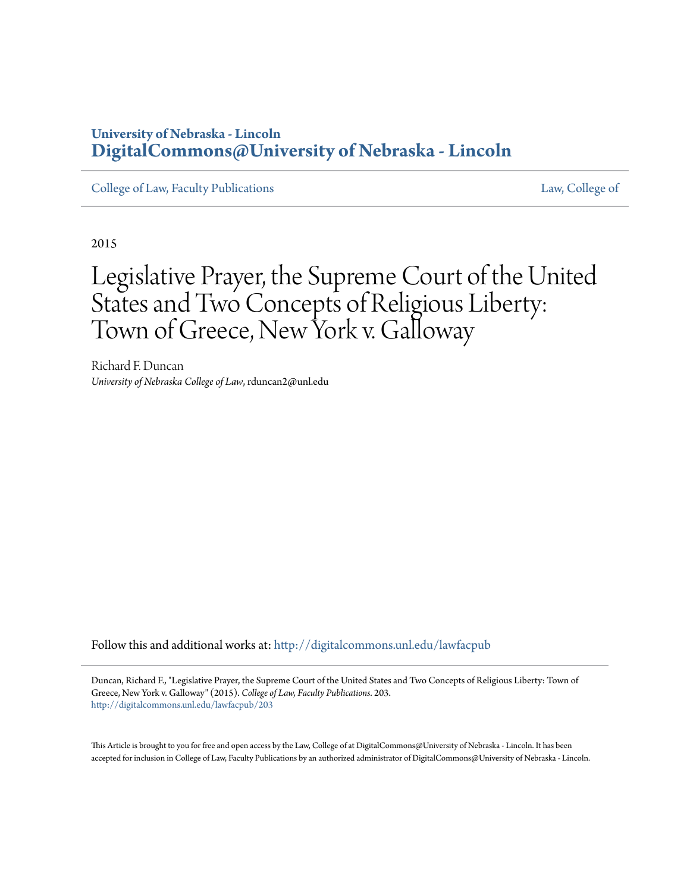# **University of Nebraska - Lincoln [DigitalCommons@University of Nebraska - Lincoln](http://digitalcommons.unl.edu?utm_source=digitalcommons.unl.edu%2Flawfacpub%2F203&utm_medium=PDF&utm_campaign=PDFCoverPages)**

[College of Law, Faculty Publications](http://digitalcommons.unl.edu/lawfacpub?utm_source=digitalcommons.unl.edu%2Flawfacpub%2F203&utm_medium=PDF&utm_campaign=PDFCoverPages) **[Law, College of](http://digitalcommons.unl.edu/law?utm_source=digitalcommons.unl.edu%2Flawfacpub%2F203&utm_medium=PDF&utm_campaign=PDFCoverPages) Law, College of** Law, College of Law, College of

2015

# Legislative Prayer, the Supreme Court of the United States and Two Concepts of Religious Liberty: Town of Greece, New York v. Galloway

Richard F. Duncan *University of Nebraska College of Law*, rduncan2@unl.edu

Follow this and additional works at: [http://digitalcommons.unl.edu/lawfacpub](http://digitalcommons.unl.edu/lawfacpub?utm_source=digitalcommons.unl.edu%2Flawfacpub%2F203&utm_medium=PDF&utm_campaign=PDFCoverPages)

Duncan, Richard F., "Legislative Prayer, the Supreme Court of the United States and Two Concepts of Religious Liberty: Town of Greece, New York v. Galloway" (2015). *College of Law, Faculty Publications*. 203. [http://digitalcommons.unl.edu/lawfacpub/203](http://digitalcommons.unl.edu/lawfacpub/203?utm_source=digitalcommons.unl.edu%2Flawfacpub%2F203&utm_medium=PDF&utm_campaign=PDFCoverPages)

This Article is brought to you for free and open access by the Law, College of at DigitalCommons@University of Nebraska - Lincoln. It has been accepted for inclusion in College of Law, Faculty Publications by an authorized administrator of DigitalCommons@University of Nebraska - Lincoln.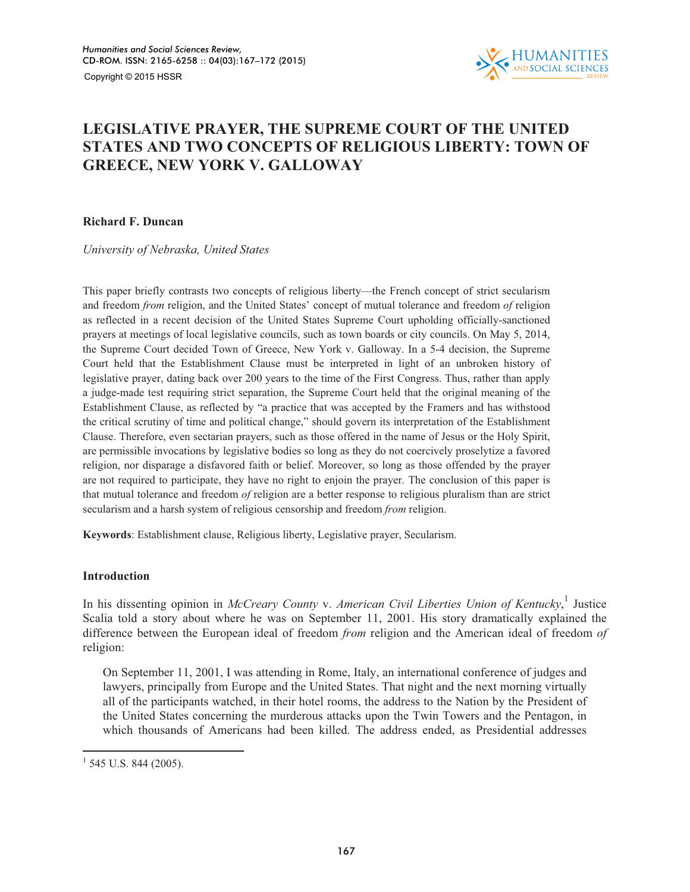

# **LEGISLATIVE PRAYER, THE SUPREME COURT OF THE UNITED STATES AND TWO CONCEPTS OF RELIGIOUS LIBERTY: TOWN OF GREECE, NEW YORK V. GALLOWAY**

### **Richard F. Duncan**

*University of Nebraska, United States* 

This paper briefly contrasts two concepts of religious liberty—the French concept of strict secularism and freedom *from* religion, and the United States' concept of mutual tolerance and freedom *of* religion as reflected in a recent decision of the United States Supreme Court upholding officially-sanctioned prayers at meetings of local legislative councils, such as town boards or city councils. On May 5, 2014, the Supreme Court decided Town of Greece, New York v. Galloway. In a 5-4 decision, the Supreme Court held that the Establishment Clause must be interpreted in light of an unbroken history of legislative prayer, dating back over 200 years to the time of the First Congress. Thus, rather than apply a judge-made test requiring strict separation, the Supreme Court held that the original meaning of the Establishment Clause, as reflected by "a practice that was accepted by the Framers and has withstood the critical scrutiny of time and political change," should govern its interpretation of the Establishment Clause. Therefore, even sectarian prayers, such as those offered in the name of Jesus or the Holy Spirit, are permissible invocations by legislative bodies so long as they do not coercively proselytize a favored religion, nor disparage a disfavored faith or belief. Moreover, so long as those offended by the prayer are not required to participate, they have no right to enjoin the prayer. The conclusion of this paper is that mutual tolerance and freedom *of* religion are a better response to religious pluralism than are strict secularism and a harsh system of religious censorship and freedom *from* religion.

**Keywords**: Establishment clause, Religious liberty, Legislative prayer, Secularism.

#### **Introduction**

In his dissenting opinion in *McCreary County v. American Civil Liberties Union of Kentucky*,<sup>1</sup> Justice Scalia told a story about where he was on September 11, 2001. His story dramatically explained the difference between the European ideal of freedom *from* religion and the American ideal of freedom *of* religion:

On September 11, 2001, I was attending in Rome, Italy, an international conference of judges and lawyers, principally from Europe and the United States. That night and the next morning virtually all of the participants watched, in their hotel rooms, the address to the Nation by the President of the United States concerning the murderous attacks upon the Twin Towers and the Pentagon, in which thousands of Americans had been killed. The address ended, as Presidential addresses

 $1$  545 U.S. 844 (2005).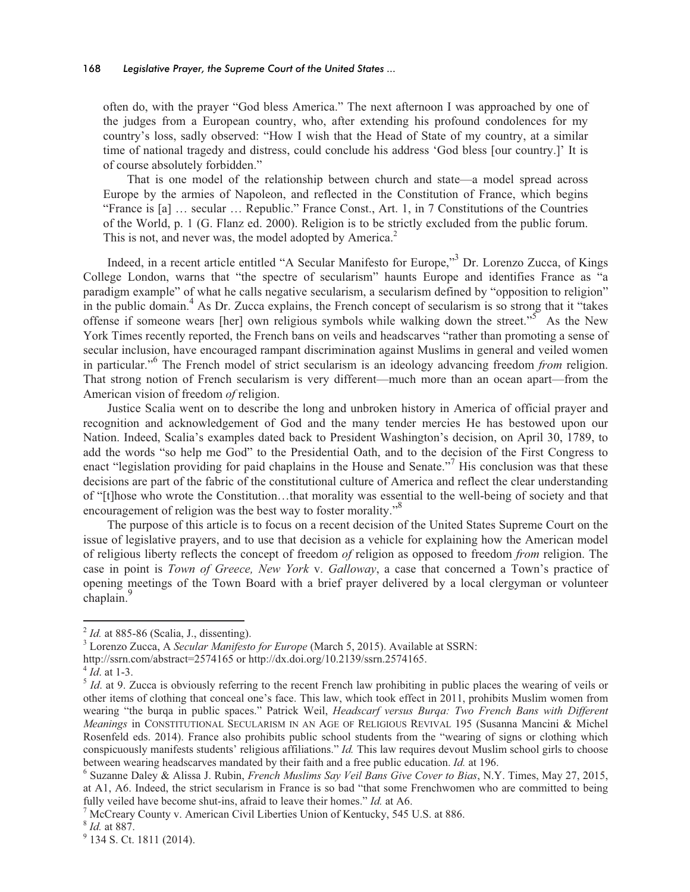often do, with the prayer "God bless America." The next afternoon I was approached by one of the judges from a European country, who, after extending his profound condolences for my country's loss, sadly observed: "How I wish that the Head of State of my country, at a similar time of national tragedy and distress, could conclude his address 'God bless [our country.]' It is of course absolutely forbidden."

That is one model of the relationship between church and state—a model spread across Europe by the armies of Napoleon, and reflected in the Constitution of France, which begins "France is [a] … secular … Republic." France Const., Art. 1, in 7 Constitutions of the Countries of the World, p. 1 (G. Flanz ed. 2000). Religion is to be strictly excluded from the public forum. This is not, and never was, the model adopted by America.<sup>2</sup>

Indeed, in a recent article entitled "A Secular Manifesto for Europe,"<sup>3</sup> Dr. Lorenzo Zucca, of Kings College London, warns that "the spectre of secularism" haunts Europe and identifies France as "a paradigm example" of what he calls negative secularism, a secularism defined by "opposition to religion" in the public domain.<sup>4</sup> As Dr. Zucca explains, the French concept of secularism is so strong that it "takes" offense if someone wears [her] own religious symbols while walking down the street."<sup>5</sup> As the New York Times recently reported, the French bans on veils and headscarves "rather than promoting a sense of secular inclusion, have encouraged rampant discrimination against Muslims in general and veiled women in particular."<sup>6</sup> The French model of strict secularism is an ideology advancing freedom *from* religion. That strong notion of French secularism is very different—much more than an ocean apart—from the American vision of freedom *of* religion.

Justice Scalia went on to describe the long and unbroken history in America of official prayer and recognition and acknowledgement of God and the many tender mercies He has bestowed upon our Nation. Indeed, Scalia's examples dated back to President Washington's decision, on April 30, 1789, to add the words "so help me God" to the Presidential Oath, and to the decision of the First Congress to enact "legislation providing for paid chaplains in the House and Senate."<sup>7</sup> His conclusion was that these decisions are part of the fabric of the constitutional culture of America and reflect the clear understanding of "[t]hose who wrote the Constitution…that morality was essential to the well-being of society and that encouragement of religion was the best way to foster morality."<sup>8</sup>

The purpose of this article is to focus on a recent decision of the United States Supreme Court on the issue of legislative prayers, and to use that decision as a vehicle for explaining how the American model of religious liberty reflects the concept of freedom *of* religion as opposed to freedom *from* religion. The case in point is *Town of Greece, New York* v. *Galloway*, a case that concerned a Town's practice of opening meetings of the Town Board with a brief prayer delivered by a local clergyman or volunteer chaplain.<sup>9</sup>

http://ssrn.com/abstract=2574165 or http://dx.doi.org/10.2139/ssrn.2574165.

2 *Id.* at 885-86 (Scalia, J., dissenting).

<sup>3</sup> Lorenzo Zucca, A *Secular Manifesto for Europe* (March 5, 2015). Available at SSRN:

<sup>4</sup> *Id*. at 1-3.

<sup>&</sup>lt;sup>5</sup> *Id*. at 9. Zucca is obviously referring to the recent French law prohibiting in public places the wearing of veils or other items of clothing that conceal one's face. This law, which took effect in 2011, prohibits Muslim women from wearing "the burqa in public spaces." Patrick Weil, *Headscarf versus Burqa: Two French Bans with Different Meanings* in CONSTITUTIONAL SECULARISM IN AN AGE OF RELIGIOUS REVIVAL 195 (Susanna Mancini & Michel Rosenfeld eds. 2014). France also prohibits public school students from the "wearing of signs or clothing which conspicuously manifests students' religious affiliations." *Id.* This law requires devout Muslim school girls to choose between wearing headscarves mandated by their faith and a free public education. *Id.* at 196.

<sup>6</sup> Suzanne Daley & Alissa J. Rubin, *French Muslims Say Veil Bans Give Cover to Bias*, N.Y. Times, May 27, 2015, at A1, A6. Indeed, the strict secularism in France is so bad "that some Frenchwomen who are committed to being fully veiled have become shut-ins, afraid to leave their homes." *Id.* at A6.

<sup>&</sup>lt;sup>7</sup> McCreary County v. American Civil Liberties Union of Kentucky, 545 U.S. at 886.

<sup>8</sup> *Id.* at 887.

<sup>&</sup>lt;sup>9</sup> 134 S. Ct. 1811 (2014).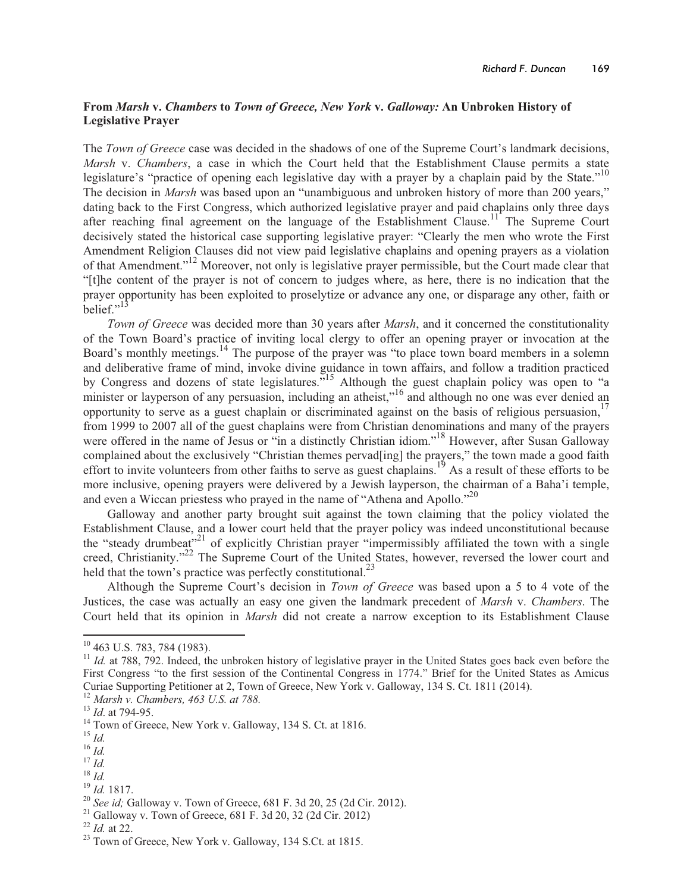## **From** *Marsh* **v.** *Chambers* **to** *Town of Greece, New York* **v.** *Galloway:* **An Unbroken History of Legislative Prayer**

The *Town of Greece* case was decided in the shadows of one of the Supreme Court's landmark decisions, *Marsh* v. *Chambers*, a case in which the Court held that the Establishment Clause permits a state legislature's "practice of opening each legislative day with a prayer by a chaplain paid by the State."<sup>10</sup> The decision in *Marsh* was based upon an "unambiguous and unbroken history of more than 200 years," dating back to the First Congress, which authorized legislative prayer and paid chaplains only three days after reaching final agreement on the language of the Establishment Clause.<sup>11</sup> The Supreme Court decisively stated the historical case supporting legislative prayer: "Clearly the men who wrote the First Amendment Religion Clauses did not view paid legislative chaplains and opening prayers as a violation of that Amendment."<sup>12</sup> Moreover, not only is legislative prayer permissible, but the Court made clear that "[t]he content of the prayer is not of concern to judges where, as here, there is no indication that the prayer opportunity has been exploited to proselytize or advance any one, or disparage any other, faith or belief."

*Town of Greece* was decided more than 30 years after *Marsh*, and it concerned the constitutionality of the Town Board's practice of inviting local clergy to offer an opening prayer or invocation at the Board's monthly meetings.<sup>14</sup> The purpose of the prayer was "to place town board members in a solemn and deliberative frame of mind, invoke divine guidance in town affairs, and follow a tradition practiced by Congress and dozens of state legislatures."<sup>15</sup> Although the guest chaplain policy was open to "a" minister or layperson of any persuasion, including an atheist,"<sup>16</sup> and although no one was ever denied an opportunity to serve as a guest chaplain or discriminated against on the basis of religious persuasion, 17 from 1999 to 2007 all of the guest chaplains were from Christian denominations and many of the prayers were offered in the name of Jesus or "in a distinctly Christian idiom."<sup>18</sup> However, after Susan Galloway complained about the exclusively "Christian themes pervad[ing] the prayers," the town made a good faith effort to invite volunteers from other faiths to serve as guest chaplains.<sup>19</sup> As a result of these efforts to be more inclusive, opening prayers were delivered by a Jewish layperson, the chairman of a Baha'i temple, and even a Wiccan priestess who prayed in the name of "Athena and Apollo."<sup>20</sup>

Galloway and another party brought suit against the town claiming that the policy violated the Establishment Clause, and a lower court held that the prayer policy was indeed unconstitutional because the "steady drumbeat"<sup>21</sup> of explicitly Christian prayer "impermissibly affiliated the town with a single creed, Christianity."<sup>22</sup> The Supreme Court of the United States, however, reversed the lower court and held that the town's practice was perfectly constitutional.<sup>23</sup>

Although the Supreme Court's decision in *Town of Greece* was based upon a 5 to 4 vote of the Justices, the case was actually an easy one given the landmark precedent of *Marsh* v. *Chambers*. The Court held that its opinion in *Marsh* did not create a narrow exception to its Establishment Clause

<u> 1989 - Johann Stein, mars et al. 1989 - Anna ann an t-Anna ann an t-Anna ann an t-Anna ann an t-Anna ann an t-</u>

<sup>19</sup> *Id.* 1817.

 $10$  463 U.S. 783, 784 (1983).

<sup>&</sup>lt;sup>11</sup> *Id.* at 788, 792. Indeed, the unbroken history of legislative prayer in the United States goes back even before the First Congress "to the first session of the Continental Congress in 1774." Brief for the United States as Amicus Curiae Supporting Petitioner at 2, Town of Greece, New York v. Galloway, 134 S. Ct. 1811 (2014).

<sup>12</sup> *Marsh v. Chambers, 463 U.S. at 788.*

<sup>13</sup> *Id*. at 794-95.

<sup>&</sup>lt;sup>14</sup> Town of Greece, New York v. Galloway, 134 S. Ct. at 1816.

<sup>15</sup> *Id.*

<sup>16</sup> *Id.*

<sup>17</sup> *Id.*

 $^{18}$   $^{16}$ 

<sup>20</sup> *See id;* Galloway v. Town of Greece, 681 F. 3d 20, 25 (2d Cir. 2012).

<sup>&</sup>lt;sup>21</sup> Galloway v. Town of Greece, 681 F. 3d 20, 32 (2d Cir. 2012)

<sup>22</sup> *Id.* at 22.

<sup>&</sup>lt;sup>23</sup> Town of Greece, New York v. Galloway, 134 S.Ct. at 1815.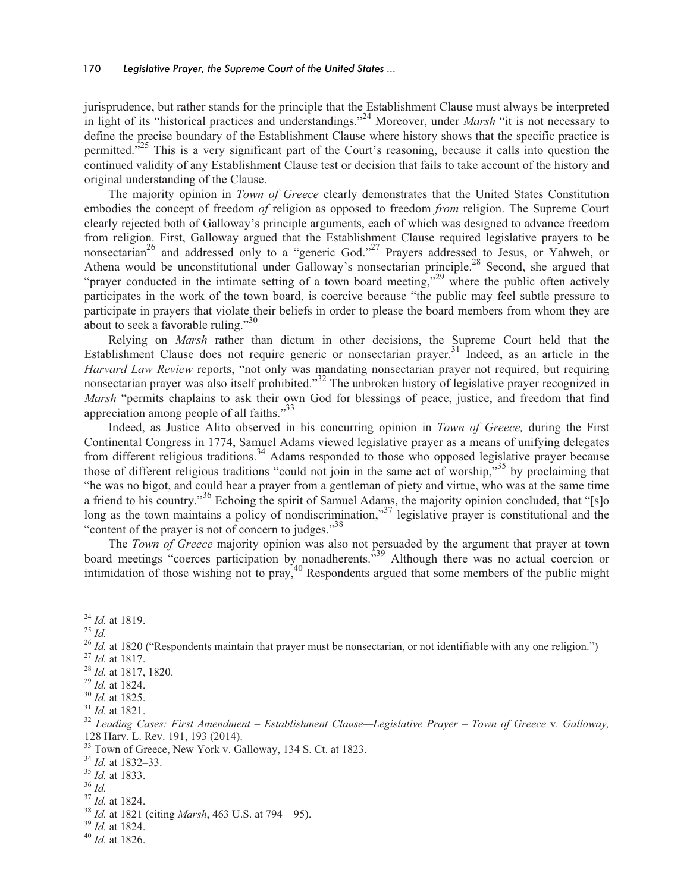#### 170 *Legislative Prayer, the Supreme Court of the United States ...*

jurisprudence, but rather stands for the principle that the Establishment Clause must always be interpreted in light of its "historical practices and understandings."24 Moreover, under *Marsh* "it is not necessary to define the precise boundary of the Establishment Clause where history shows that the specific practice is permitted."<sup>25</sup> This is a very significant part of the Court's reasoning, because it calls into question the continued validity of any Establishment Clause test or decision that fails to take account of the history and original understanding of the Clause.

The majority opinion in *Town of Greece* clearly demonstrates that the United States Constitution embodies the concept of freedom *of* religion as opposed to freedom *from* religion. The Supreme Court clearly rejected both of Galloway's principle arguments, each of which was designed to advance freedom from religion. First, Galloway argued that the Establishment Clause required legislative prayers to be nonsectarian<sup>26</sup> and addressed only to a "generic God."<sup>27</sup> Prayers addressed to Jesus, or Yahweh, or Athena would be unconstitutional under Galloway's nonsectarian principle.<sup>28</sup> Second, she argued that "prayer conducted in the intimate setting of a town board meeting,"<sup>29</sup> where the public often actively participates in the work of the town board, is coercive because "the public may feel subtle pressure to participate in prayers that violate their beliefs in order to please the board members from whom they are about to seek a favorable ruling."<sup>30</sup>

Relying on *Marsh* rather than dictum in other decisions, the Supreme Court held that the Establishment Clause does not require generic or nonsectarian prayer.<sup>31</sup> Indeed, as an article in the *Harvard Law Review* reports, "not only was mandating nonsectarian prayer not required, but requiring nonsectarian prayer was also itself prohibited."<sup>32</sup> The unbroken history of legislative prayer recognized in *Marsh* "permits chaplains to ask their own God for blessings of peace, justice, and freedom that find appreciation among people of all faiths."<sup>33</sup>

Indeed, as Justice Alito observed in his concurring opinion in *Town of Greece,* during the First Continental Congress in 1774, Samuel Adams viewed legislative prayer as a means of unifying delegates from different religious traditions.<sup>34</sup> Adams responded to those who opposed legislative prayer because those of different religious traditions "could not join in the same act of worship,"<sup>35</sup> by proclaiming that "he was no bigot, and could hear a prayer from a gentleman of piety and virtue, who was at the same time a friend to his country."36 Echoing the spirit of Samuel Adams, the majority opinion concluded, that "[s]o long as the town maintains a policy of nondiscrimination,"<sup>37'</sup> legislative prayer is constitutional and the "content of the prayer is not of concern to judges."<sup>38</sup>

The *Town of Greece* majority opinion was also not persuaded by the argument that prayer at town board meetings "coerces participation by nonadherents."<sup>39</sup> Although there was no actual coercion or intimidation of those wishing not to pray,<sup>40</sup> Respondents argued that some members of the public might

<sup>24</sup> *Id.* at 1819.

<sup>25</sup> *Id.*

<sup>&</sup>lt;sup>26</sup> *Id.* at 1820 ("Respondents maintain that prayer must be nonsectarian, or not identifiable with any one religion.") <sup>27</sup> *Id.* at 1817.

<sup>28</sup> *Id.* at 1817, 1820.

<sup>29</sup> *Id.* at 1824.

<sup>30</sup> *Id.* at 1825.

<sup>31</sup> *Id.* at 1821.

<sup>32</sup> *Leading Cases: First Amendment – Establishment Clause—Legislative Prayer – Town of Greece* v*. Galloway,*  128 Harv. L. Rev. 191, 193 (2014).

<sup>&</sup>lt;sup>33</sup> Town of Greece, New York v. Galloway, 134 S. Ct. at 1823.

<sup>34</sup> *Id.* at 1832–33.

<sup>35</sup> *Id.* at 1833.

<sup>36</sup> *Id.*

<sup>37</sup> *Id.* at 1824.

<sup>38</sup> *Id.* at 1821 (citing *Marsh*, 463 U.S. at 794 – 95).

<sup>39</sup> *Id.* at 1824.

<sup>40</sup> *Id.* at 1826.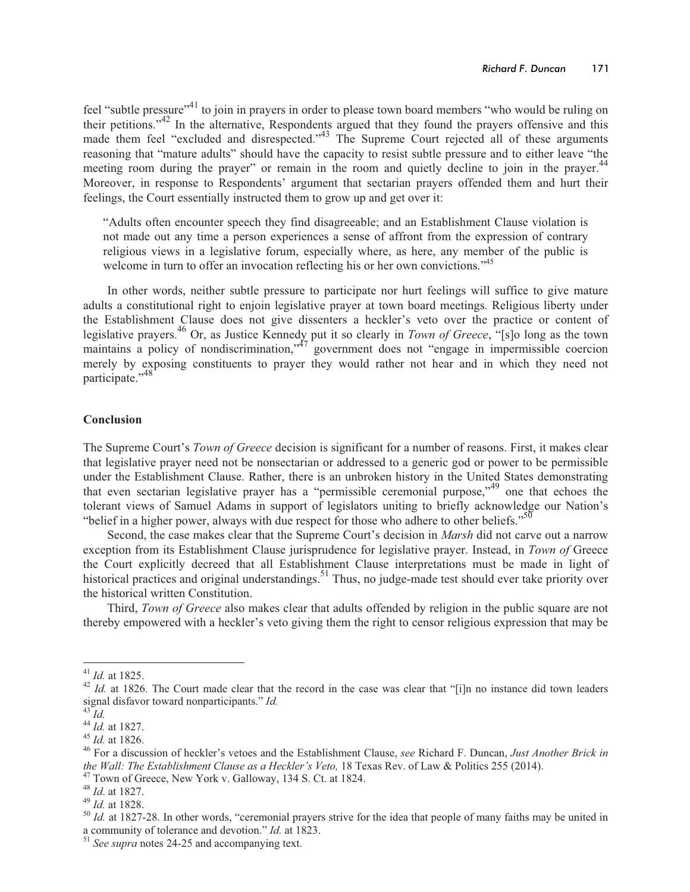feel "subtle pressure"<sup>41</sup> to join in prayers in order to please town board members "who would be ruling on their petitions."42 In the alternative, Respondents argued that they found the prayers offensive and this made them feel "excluded and disrespected."<sup>43</sup> The Supreme Court rejected all of these arguments reasoning that "mature adults" should have the capacity to resist subtle pressure and to either leave "the meeting room during the prayer" or remain in the room and quietly decline to join in the prayer.<sup>44</sup> Moreover, in response to Respondents' argument that sectarian prayers offended them and hurt their feelings, the Court essentially instructed them to grow up and get over it:

"Adults often encounter speech they find disagreeable; and an Establishment Clause violation is not made out any time a person experiences a sense of affront from the expression of contrary religious views in a legislative forum, especially where, as here, any member of the public is welcome in turn to offer an invocation reflecting his or her own convictions."<sup>45</sup>

In other words, neither subtle pressure to participate nor hurt feelings will suffice to give mature adults a constitutional right to enjoin legislative prayer at town board meetings. Religious liberty under the Establishment Clause does not give dissenters a heckler's veto over the practice or content of legislative prayers.46 Or, as Justice Kennedy put it so clearly in *Town of Greece*, "[s]o long as the town maintains a policy of nondiscrimination,<sup>47</sup> government does not "engage in impermissible coercion merely by exposing constituents to prayer they would rather not hear and in which they need not participate."<sup>48</sup>

## **Conclusion**

The Supreme Court's *Town of Greece* decision is significant for a number of reasons. First, it makes clear that legislative prayer need not be nonsectarian or addressed to a generic god or power to be permissible under the Establishment Clause. Rather, there is an unbroken history in the United States demonstrating that even sectarian legislative prayer has a "permissible ceremonial purpose,"49 one that echoes the tolerant views of Samuel Adams in support of legislators uniting to briefly acknowledge our Nation's "belief in a higher power, always with due respect for those who adhere to other beliefs."<sup>50</sup>

Second, the case makes clear that the Supreme Court's decision in *Marsh* did not carve out a narrow exception from its Establishment Clause jurisprudence for legislative prayer. Instead, in *Town of* Greece the Court explicitly decreed that all Establishment Clause interpretations must be made in light of historical practices and original understandings.<sup>51</sup> Thus, no judge-made test should ever take priority over the historical written Constitution.

Third, *Town of Greece* also makes clear that adults offended by religion in the public square are not thereby empowered with a heckler's veto giving them the right to censor religious expression that may be

<sup>41</sup> *Id.* at 1825.

<sup>&</sup>lt;sup>42</sup> *Id.* at 1826. The Court made clear that the record in the case was clear that "[i]n no instance did town leaders signal disfavor toward nonparticipants." *Id.* 

 $3^3$  *Id.* 

<sup>44</sup> *Id.* at 1827.

<sup>45</sup> *Id.* at 1826.

<sup>46</sup> For a discussion of heckler's vetoes and the Establishment Clause, *see* Richard F. Duncan, *Just Another Brick in the Wall: The Establishment Clause as a Heckler's Veto,* 18 Texas Rev. of Law & Politics 255 (2014).

<sup>&</sup>lt;sup>47</sup> Town of Greece, New York v. Galloway, 134 S. Ct. at 1824.

<sup>48</sup> *Id*. at 1827.

<sup>49</sup> *Id.* at 1828.

<sup>&</sup>lt;sup>50</sup> *Id.* at 1827-28. In other words, "ceremonial prayers strive for the idea that people of many faiths may be united in a community of tolerance and devotion." *Id.* at 1823.

<sup>51</sup> *See supra* notes 24-25 and accompanying text.